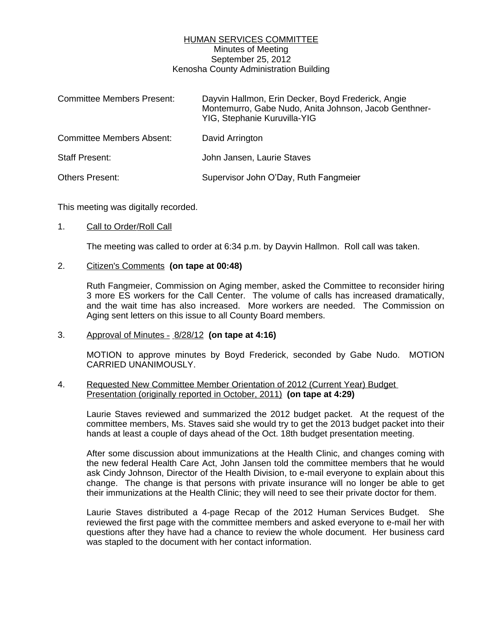## HUMAN SERVICES COMMITTEE Minutes of Meeting September 25, 2012 Kenosha County Administration Building

| <b>Committee Members Present:</b> | Dayvin Hallmon, Erin Decker, Boyd Frederick, Angie<br>Montemurro, Gabe Nudo, Anita Johnson, Jacob Genthner-<br>YIG, Stephanie Kuruvilla-YIG |
|-----------------------------------|---------------------------------------------------------------------------------------------------------------------------------------------|
| <b>Committee Members Absent:</b>  | David Arrington                                                                                                                             |
| <b>Staff Present:</b>             | John Jansen, Laurie Staves                                                                                                                  |
| <b>Others Present:</b>            | Supervisor John O'Day, Ruth Fangmeier                                                                                                       |

This meeting was digitally recorded.

## 1. Call to Order/Roll Call

The meeting was called to order at 6:34 p.m. by Dayvin Hallmon. Roll call was taken.

#### 2. Citizen's Comments **(on tape at 00:48)**

Ruth Fangmeier, Commission on Aging member, asked the Committee to reconsider hiring 3 more ES workers for the Call Center. The volume of calls has increased dramatically, and the wait time has also increased. More workers are needed. The Commission on Aging sent letters on this issue to all County Board members.

## 3. Approval of Minutes – 8/28/12 **(on tape at 4:16)**

MOTION to approve minutes by Boyd Frederick, seconded by Gabe Nudo. MOTION CARRIED UNANIMOUSLY.

## 4. Requested New Committee Member Orientation of 2012 (Current Year) Budget Presentation (originally reported in October, 2011) **(on tape at 4:29)**

Laurie Staves reviewed and summarized the 2012 budget packet. At the request of the committee members, Ms. Staves said she would try to get the 2013 budget packet into their hands at least a couple of days ahead of the Oct. 18th budget presentation meeting.

After some discussion about immunizations at the Health Clinic, and changes coming with the new federal Health Care Act, John Jansen told the committee members that he would ask Cindy Johnson, Director of the Health Division, to e-mail everyone to explain about this change. The change is that persons with private insurance will no longer be able to get their immunizations at the Health Clinic; they will need to see their private doctor for them.

Laurie Staves distributed a 4-page Recap of the 2012 Human Services Budget. She reviewed the first page with the committee members and asked everyone to e-mail her with questions after they have had a chance to review the whole document. Her business card was stapled to the document with her contact information.